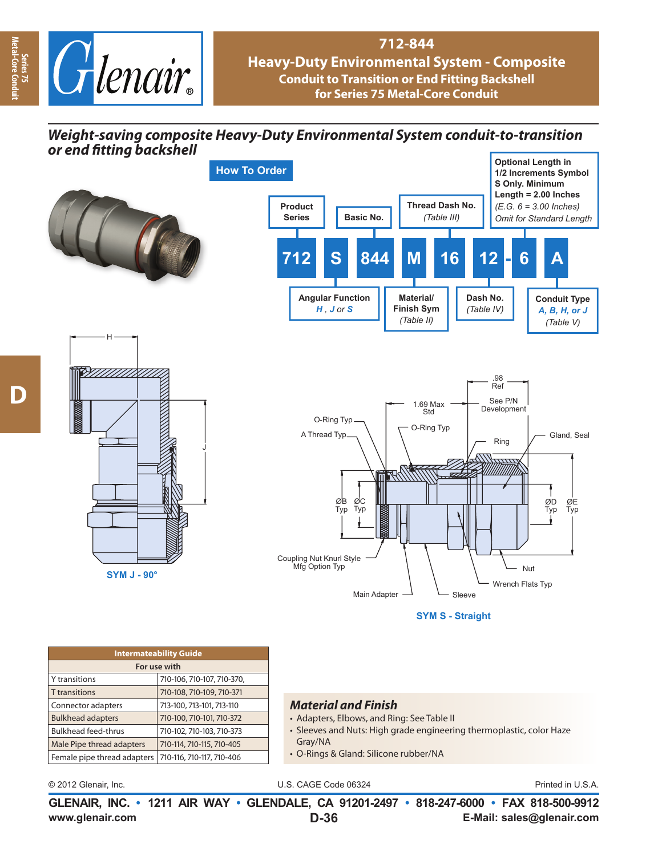

## **712-844**

**Heavy-Duty Environmental System - Composite Conduit to Transition or End Fitting Backshell for Series 75 Metal-Core Conduit**

# *Weight-saving composite Heavy-Duty Environmental System conduit-to-transition or end fi tting backshell*









**SYM S - Straight**

| <b>Intermateability Guide</b> |                            |  |  |  |  |
|-------------------------------|----------------------------|--|--|--|--|
| For use with                  |                            |  |  |  |  |
| Y transitions                 | 710-106, 710-107, 710-370, |  |  |  |  |
| <b>T</b> transitions          | 710-108, 710-109, 710-371  |  |  |  |  |
| Connector adapters            | 713-100, 713-101, 713-110  |  |  |  |  |
| <b>Bulkhead adapters</b>      | 710-100, 710-101, 710-372  |  |  |  |  |
| <b>Bulkhead feed-thrus</b>    | 710-102, 710-103, 710-373  |  |  |  |  |
| Male Pipe thread adapters     | 710-114, 710-115, 710-405  |  |  |  |  |
| Female pipe thread adapters   | 710-116, 710-117, 710-406  |  |  |  |  |
|                               |                            |  |  |  |  |

#### *Material and Finish*

- Adapters, Elbows, and Ring: See Table II
- Sleeves and Nuts: High grade engineering thermoplastic, color Haze Gray/NA
- O-Rings & Gland: Silicone rubber/NA

© 2012 Glenair, Inc. U.S. CAGE Code 06324 Printed in U.S.A.

**www.glenair.com E-Mail: sales@glenair.com GLENAIR, INC. • 1211 AIR WAY • GLENDALE, CA 91201-2497 • 818-247-6000 • FAX 818-500-9912 D-36**

**Series 75<br>Aetal-Core Con Metal-Core Conduit**